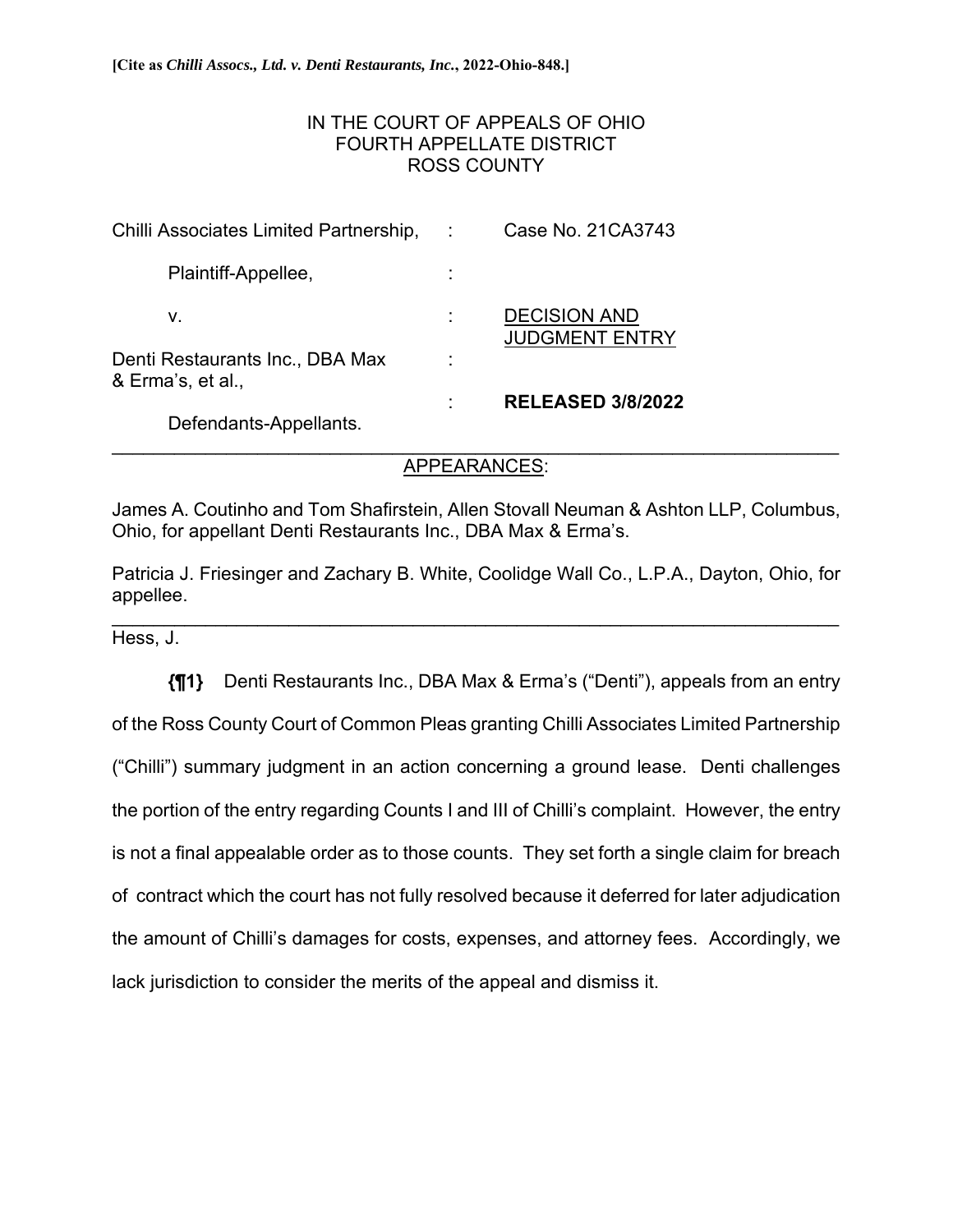# IN THE COURT OF APPEALS OF OHIO FOURTH APPELLATE DISTRICT ROSS COUNTY

| Chilli Associates Limited Partnership,               | Case No. 21CA3743                            |
|------------------------------------------------------|----------------------------------------------|
| Plaintiff-Appellee,                                  |                                              |
| V.                                                   | <b>DECISION AND</b><br><b>JUDGMENT ENTRY</b> |
| Denti Restaurants Inc., DBA Max<br>& Erma's, et al., |                                              |
| Defendants-Appellants.                               | <b>RELEASED 3/8/2022</b>                     |

## \_\_\_\_\_\_\_\_\_\_\_\_\_\_\_\_\_\_\_\_\_\_\_\_\_\_\_\_\_\_\_\_\_\_\_\_\_\_\_\_\_\_\_\_\_\_\_\_\_\_\_\_\_\_\_\_\_\_\_\_\_\_\_\_\_\_\_\_\_\_ APPEARANCES:

James A. Coutinho and Tom Shafirstein, Allen Stovall Neuman & Ashton LLP, Columbus, Ohio, for appellant Denti Restaurants Inc., DBA Max & Erma's.

Patricia J. Friesinger and Zachary B. White, Coolidge Wall Co., L.P.A., Dayton, Ohio, for appellee.

\_\_\_\_\_\_\_\_\_\_\_\_\_\_\_\_\_\_\_\_\_\_\_\_\_\_\_\_\_\_\_\_\_\_\_\_\_\_\_\_\_\_\_\_\_\_\_\_\_\_\_\_\_\_\_\_\_\_\_\_\_\_\_\_\_\_\_\_\_\_

Hess, J.

**{¶1}** Denti Restaurants Inc., DBA Max & Erma's ("Denti"), appeals from an entry of the Ross County Court of Common Pleas granting Chilli Associates Limited Partnership ("Chilli") summary judgment in an action concerning a ground lease. Denti challenges the portion of the entry regarding Counts I and III of Chilli's complaint. However, the entry is not a final appealable order as to those counts. They set forth a single claim for breach of contract which the court has not fully resolved because it deferred for later adjudication the amount of Chilli's damages for costs, expenses, and attorney fees. Accordingly, we lack jurisdiction to consider the merits of the appeal and dismiss it.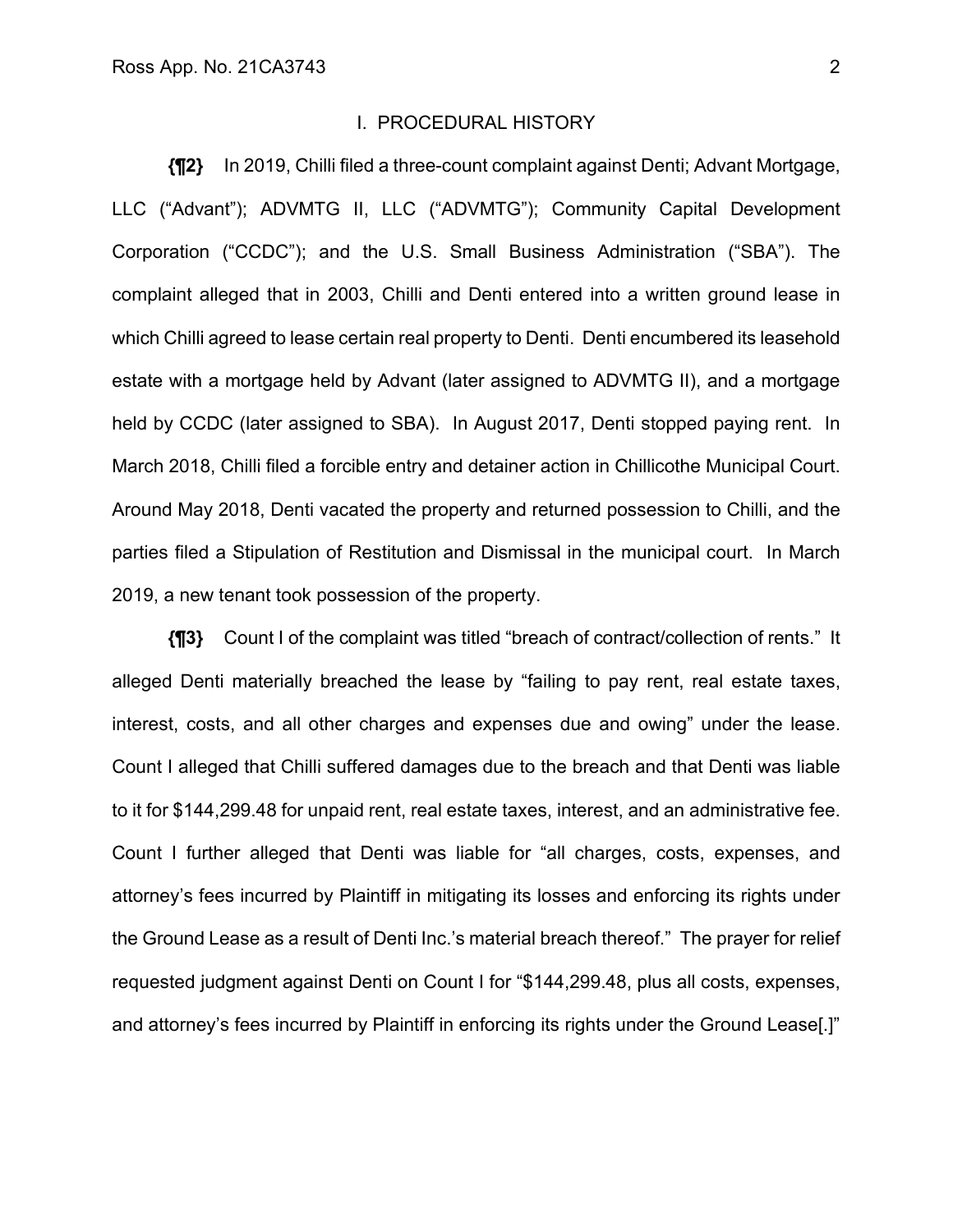### I. PROCEDURAL HISTORY

**{¶2}** In 2019, Chilli filed a three-count complaint against Denti; Advant Mortgage, LLC ("Advant"); ADVMTG II, LLC ("ADVMTG"); Community Capital Development Corporation ("CCDC"); and the U.S. Small Business Administration ("SBA"). The complaint alleged that in 2003, Chilli and Denti entered into a written ground lease in which Chilli agreed to lease certain real property to Denti. Denti encumbered its leasehold estate with a mortgage held by Advant (later assigned to ADVMTG II), and a mortgage held by CCDC (later assigned to SBA). In August 2017, Denti stopped paying rent. In March 2018, Chilli filed a forcible entry and detainer action in Chillicothe Municipal Court. Around May 2018, Denti vacated the property and returned possession to Chilli, and the parties filed a Stipulation of Restitution and Dismissal in the municipal court. In March 2019, a new tenant took possession of the property.

**{¶3}** Count I of the complaint was titled "breach of contract/collection of rents." It alleged Denti materially breached the lease by "failing to pay rent, real estate taxes, interest, costs, and all other charges and expenses due and owing" under the lease. Count I alleged that Chilli suffered damages due to the breach and that Denti was liable to it for \$144,299.48 for unpaid rent, real estate taxes, interest, and an administrative fee. Count I further alleged that Denti was liable for "all charges, costs, expenses, and attorney's fees incurred by Plaintiff in mitigating its losses and enforcing its rights under the Ground Lease as a result of Denti Inc.'s material breach thereof." The prayer for relief requested judgment against Denti on Count I for "\$144,299.48, plus all costs, expenses, and attorney's fees incurred by Plaintiff in enforcing its rights under the Ground Lease[.]"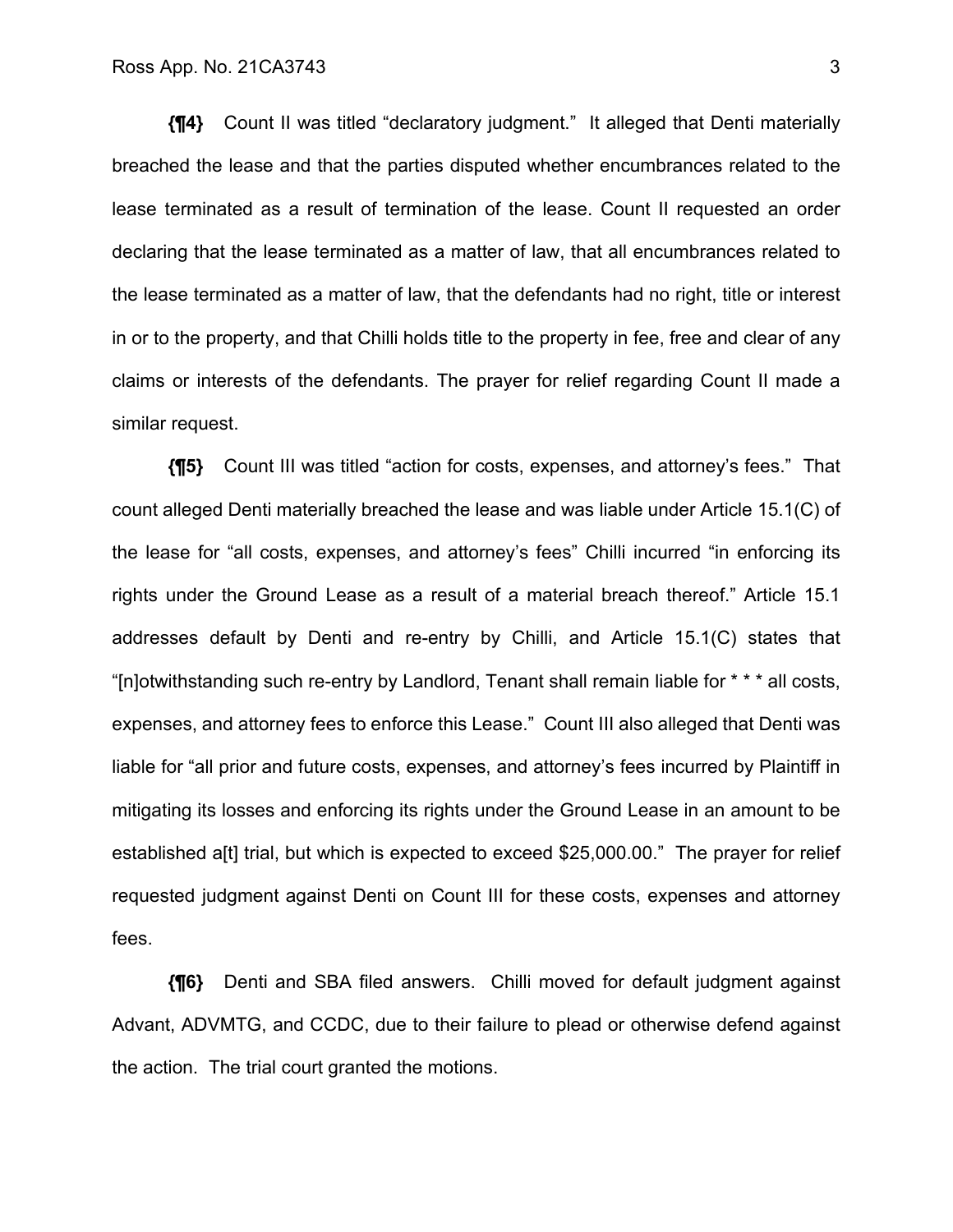**{¶4}** Count II was titled "declaratory judgment." It alleged that Denti materially breached the lease and that the parties disputed whether encumbrances related to the lease terminated as a result of termination of the lease. Count II requested an order declaring that the lease terminated as a matter of law, that all encumbrances related to the lease terminated as a matter of law, that the defendants had no right, title or interest in or to the property, and that Chilli holds title to the property in fee, free and clear of any claims or interests of the defendants. The prayer for relief regarding Count II made a similar request.

**{¶5}** Count III was titled "action for costs, expenses, and attorney's fees." That count alleged Denti materially breached the lease and was liable under Article 15.1(C) of the lease for "all costs, expenses, and attorney's fees" Chilli incurred "in enforcing its rights under the Ground Lease as a result of a material breach thereof." Article 15.1 addresses default by Denti and re-entry by Chilli, and Article 15.1(C) states that "[n]otwithstanding such re-entry by Landlord, Tenant shall remain liable for \* \* \* all costs, expenses, and attorney fees to enforce this Lease." Count III also alleged that Denti was liable for "all prior and future costs, expenses, and attorney's fees incurred by Plaintiff in mitigating its losses and enforcing its rights under the Ground Lease in an amount to be established a[t] trial, but which is expected to exceed \$25,000.00." The prayer for relief requested judgment against Denti on Count III for these costs, expenses and attorney fees.

**{¶6}** Denti and SBA filed answers. Chilli moved for default judgment against Advant, ADVMTG, and CCDC, due to their failure to plead or otherwise defend against the action. The trial court granted the motions.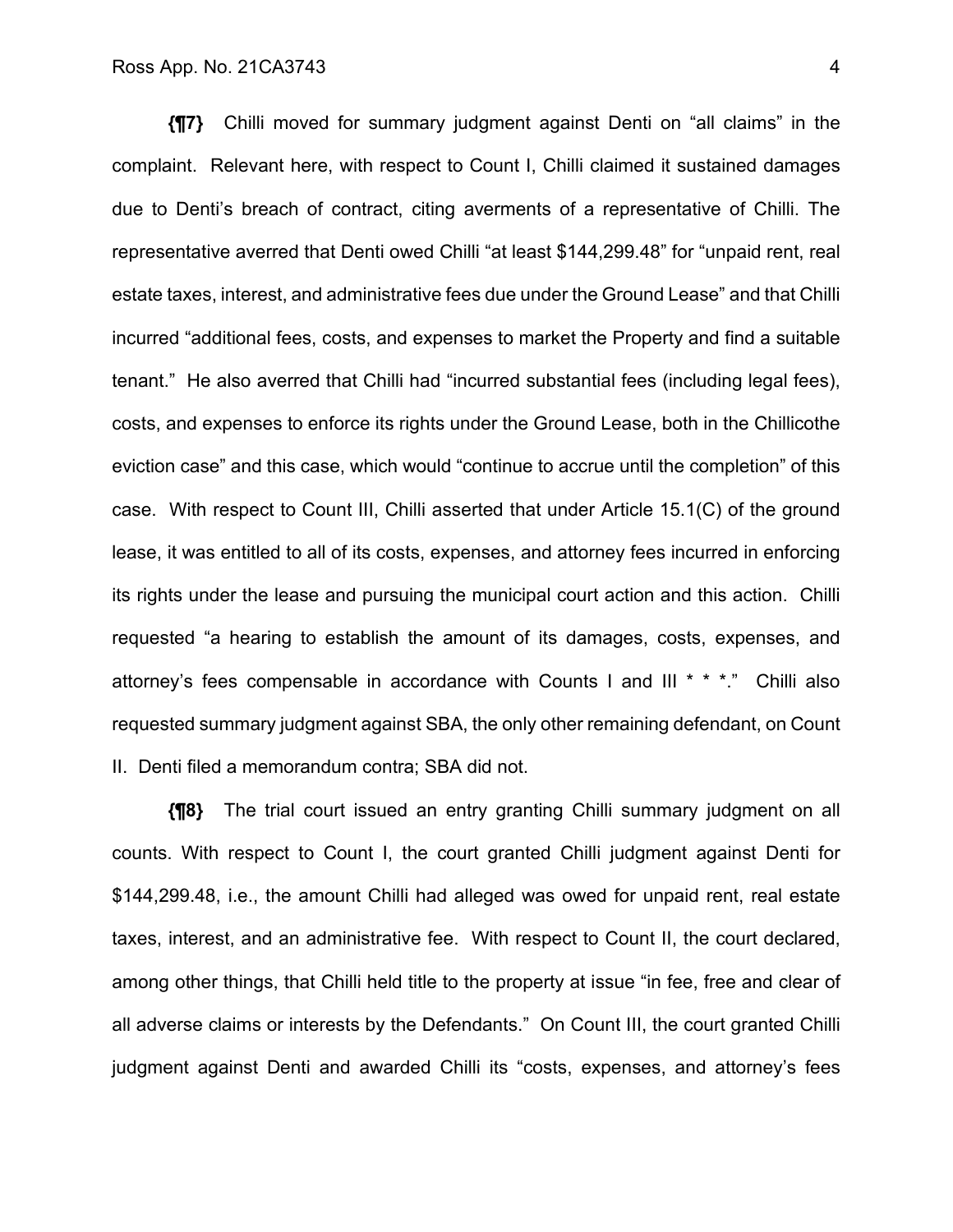**{¶7}** Chilli moved for summary judgment against Denti on "all claims" in the complaint. Relevant here, with respect to Count I, Chilli claimed it sustained damages due to Denti's breach of contract, citing averments of a representative of Chilli. The representative averred that Denti owed Chilli "at least \$144,299.48" for "unpaid rent, real estate taxes, interest, and administrative fees due under the Ground Lease" and that Chilli incurred "additional fees, costs, and expenses to market the Property and find a suitable tenant." He also averred that Chilli had "incurred substantial fees (including legal fees), costs, and expenses to enforce its rights under the Ground Lease, both in the Chillicothe eviction case" and this case, which would "continue to accrue until the completion" of this case. With respect to Count III, Chilli asserted that under Article 15.1(C) of the ground lease, it was entitled to all of its costs, expenses, and attorney fees incurred in enforcing its rights under the lease and pursuing the municipal court action and this action. Chilli requested "a hearing to establish the amount of its damages, costs, expenses, and attorney's fees compensable in accordance with Counts I and III \* \* \*." Chilli also requested summary judgment against SBA, the only other remaining defendant, on Count II. Denti filed a memorandum contra; SBA did not.

**{¶8}** The trial court issued an entry granting Chilli summary judgment on all counts. With respect to Count I, the court granted Chilli judgment against Denti for \$144,299.48, i.e., the amount Chilli had alleged was owed for unpaid rent, real estate taxes, interest, and an administrative fee. With respect to Count II, the court declared, among other things, that Chilli held title to the property at issue "in fee, free and clear of all adverse claims or interests by the Defendants." On Count III, the court granted Chilli judgment against Denti and awarded Chilli its "costs, expenses, and attorney's fees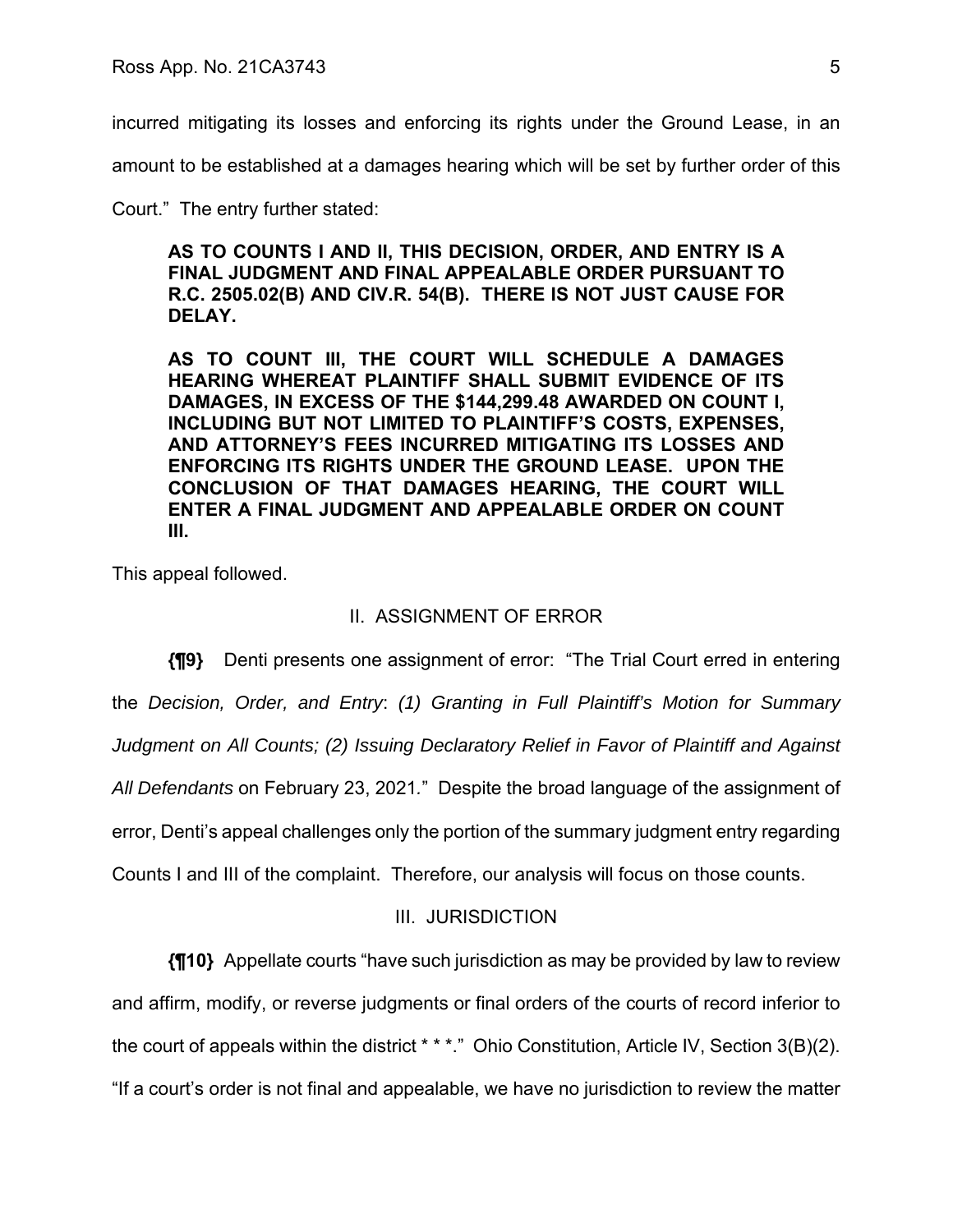incurred mitigating its losses and enforcing its rights under the Ground Lease, in an

amount to be established at a damages hearing which will be set by further order of this

Court." The entry further stated:

**AS TO COUNTS I AND II, THIS DECISION, ORDER, AND ENTRY IS A FINAL JUDGMENT AND FINAL APPEALABLE ORDER PURSUANT TO R.C. 2505.02(B) AND CIV.R. 54(B). THERE IS NOT JUST CAUSE FOR DELAY.** 

**AS TO COUNT III, THE COURT WILL SCHEDULE A DAMAGES HEARING WHEREAT PLAINTIFF SHALL SUBMIT EVIDENCE OF ITS DAMAGES, IN EXCESS OF THE \$144,299.48 AWARDED ON COUNT I, INCLUDING BUT NOT LIMITED TO PLAINTIFF'S COSTS, EXPENSES, AND ATTORNEY'S FEES INCURRED MITIGATING ITS LOSSES AND ENFORCING ITS RIGHTS UNDER THE GROUND LEASE. UPON THE CONCLUSION OF THAT DAMAGES HEARING, THE COURT WILL ENTER A FINAL JUDGMENT AND APPEALABLE ORDER ON COUNT III.** 

This appeal followed.

# II. ASSIGNMENT OF ERROR

**{¶9}** Denti presents one assignment of error: "The Trial Court erred in entering the *Decision, Order, and Entry*: *(1) Granting in Full Plaintiff's Motion for Summary Judgment on All Counts; (2) Issuing Declaratory Relief in Favor of Plaintiff and Against All Defendants* on February 23, 2021*.*" Despite the broad language of the assignment of error, Denti's appeal challenges only the portion of the summary judgment entry regarding Counts I and III of the complaint. Therefore, our analysis will focus on those counts.

# III. JURISDICTION

**{¶10}** Appellate courts "have such jurisdiction as may be provided by law to review and affirm, modify, or reverse judgments or final orders of the courts of record inferior to the court of appeals within the district \* \* \*." Ohio Constitution, Article IV, Section 3(B)(2).

"If a court's order is not final and appealable, we have no jurisdiction to review the matter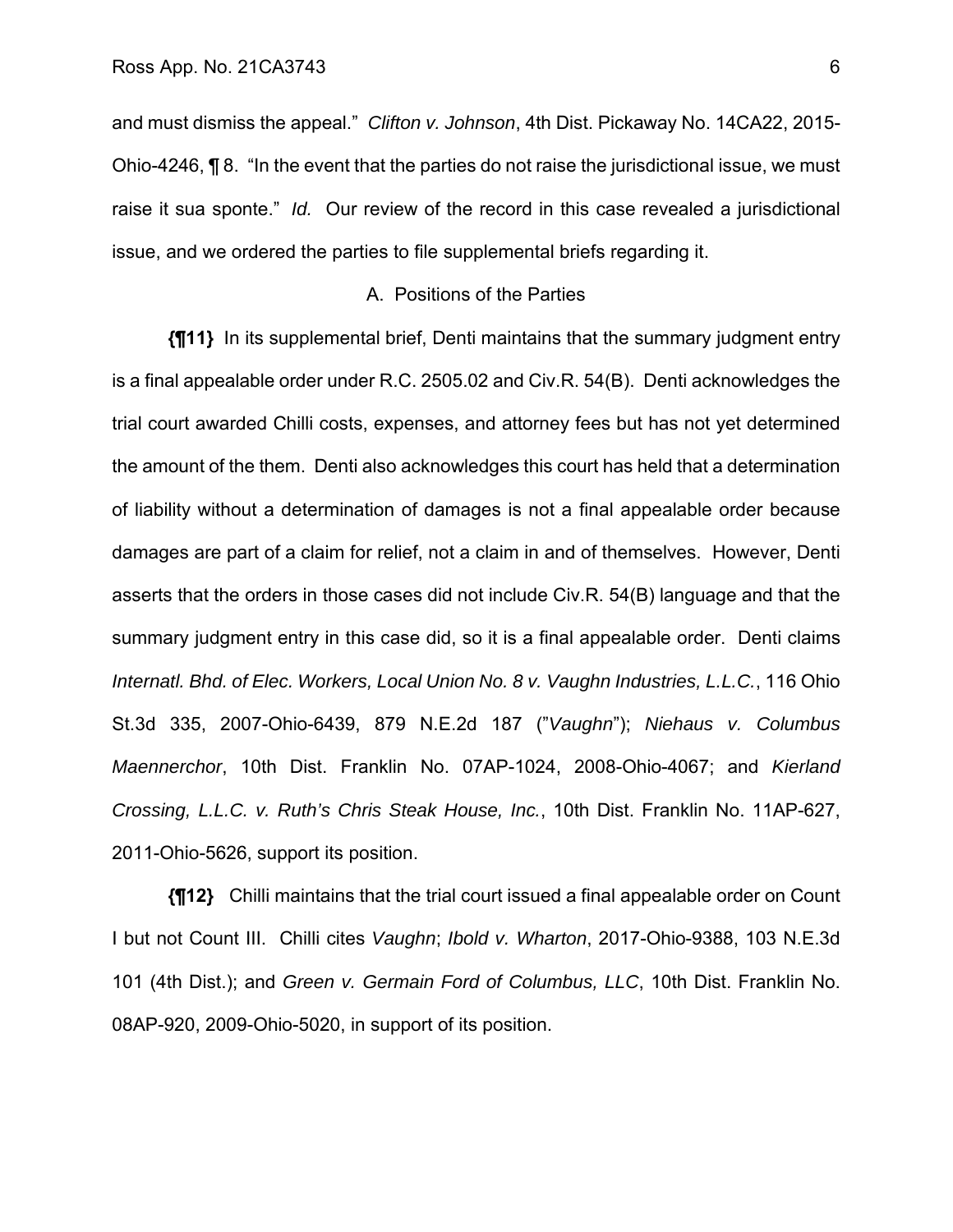and must dismiss the appeal." *Clifton v. Johnson*, 4th Dist. Pickaway No. 14CA22, 2015- Ohio-4246, ¶ 8. "In the event that the parties do not raise the jurisdictional issue, we must raise it sua sponte." *Id.* Our review of the record in this case revealed a jurisdictional issue, and we ordered the parties to file supplemental briefs regarding it.

## A. Positions of the Parties

**{¶11}** In its supplemental brief, Denti maintains that the summary judgment entry is a final appealable order under R.C. 2505.02 and Civ.R. 54(B). Denti acknowledges the trial court awarded Chilli costs, expenses, and attorney fees but has not yet determined the amount of the them. Denti also acknowledges this court has held that a determination of liability without a determination of damages is not a final appealable order because damages are part of a claim for relief, not a claim in and of themselves. However, Denti asserts that the orders in those cases did not include Civ.R. 54(B) language and that the summary judgment entry in this case did, so it is a final appealable order. Denti claims *Internatl. Bhd. of Elec. Workers, Local Union No. 8 v. Vaughn Industries, L.L.C.*, 116 Ohio St.3d 335, 2007-Ohio-6439, 879 N.E.2d 187 ("*Vaughn*"); *Niehaus v. Columbus Maennerchor*, 10th Dist. Franklin No. 07AP-1024, 2008-Ohio-4067; and *Kierland Crossing, L.L.C. v. Ruth's Chris Steak House, Inc.*, 10th Dist. Franklin No. 11AP-627, 2011-Ohio-5626, support its position.

**{¶12}** Chilli maintains that the trial court issued a final appealable order on Count I but not Count III. Chilli cites *Vaughn*; *Ibold v. Wharton*, 2017-Ohio-9388, 103 N.E.3d 101 (4th Dist.); and *Green v. Germain Ford of Columbus, LLC*, 10th Dist. Franklin No. 08AP-920, 2009-Ohio-5020, in support of its position.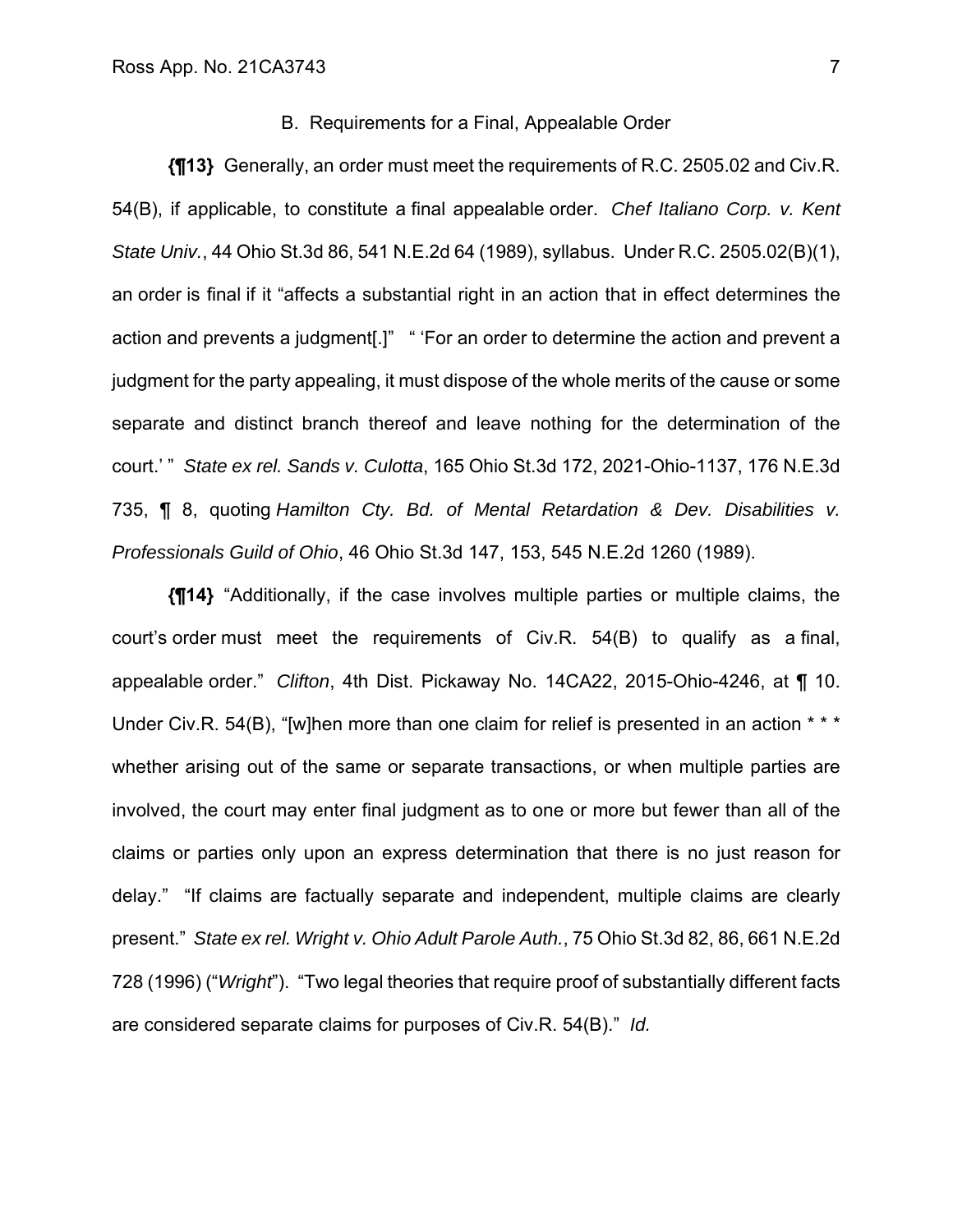## B. Requirements for a Final, Appealable Order

**{¶13}** Generally, an order must meet the requirements of R.C. 2505.02 and Civ.R. 54(B), if applicable, to constitute a final appealable order. *Chef Italiano Corp. v. Kent State Univ.*, 44 Ohio St.3d 86, 541 N.E.2d 64 (1989), syllabus. Under R.C. 2505.02(B)(1), an order is final if it "affects a substantial right in an action that in effect determines the action and prevents a judgment[.]" " 'For an order to determine the action and prevent a judgment for the party appealing, it must dispose of the whole merits of the cause or some separate and distinct branch thereof and leave nothing for the determination of the court.' " *State ex rel. Sands v. Culotta*, 165 Ohio St.3d 172, 2021-Ohio-1137, 176 N.E.3d 735, ¶ 8, quoting *Hamilton Cty. Bd. of Mental Retardation & Dev. Disabilities v. Professionals Guild of Ohio*, 46 Ohio St.3d 147, 153, 545 N.E.2d 1260 (1989).

**{¶14}** "Additionally, if the case involves multiple parties or multiple claims, the court's order must meet the requirements of Civ.R. 54(B) to qualify as a final, appealable order." *Clifton*, 4th Dist. Pickaway No. 14CA22, 2015-Ohio-4246, at ¶ 10. Under Civ.R. 54(B), "[w]hen more than one claim for relief is presented in an action \* \* \* whether arising out of the same or separate transactions, or when multiple parties are involved, the court may enter final judgment as to one or more but fewer than all of the claims or parties only upon an express determination that there is no just reason for delay." "If claims are factually separate and independent, multiple claims are clearly present." *State ex rel. Wright v. Ohio Adult Parole Auth.*, 75 Ohio St.3d 82, 86, 661 N.E.2d 728 (1996) ("*Wright*"). "Two legal theories that require proof of substantially different facts are considered separate claims for purposes of Civ.R. 54(B)." *Id.*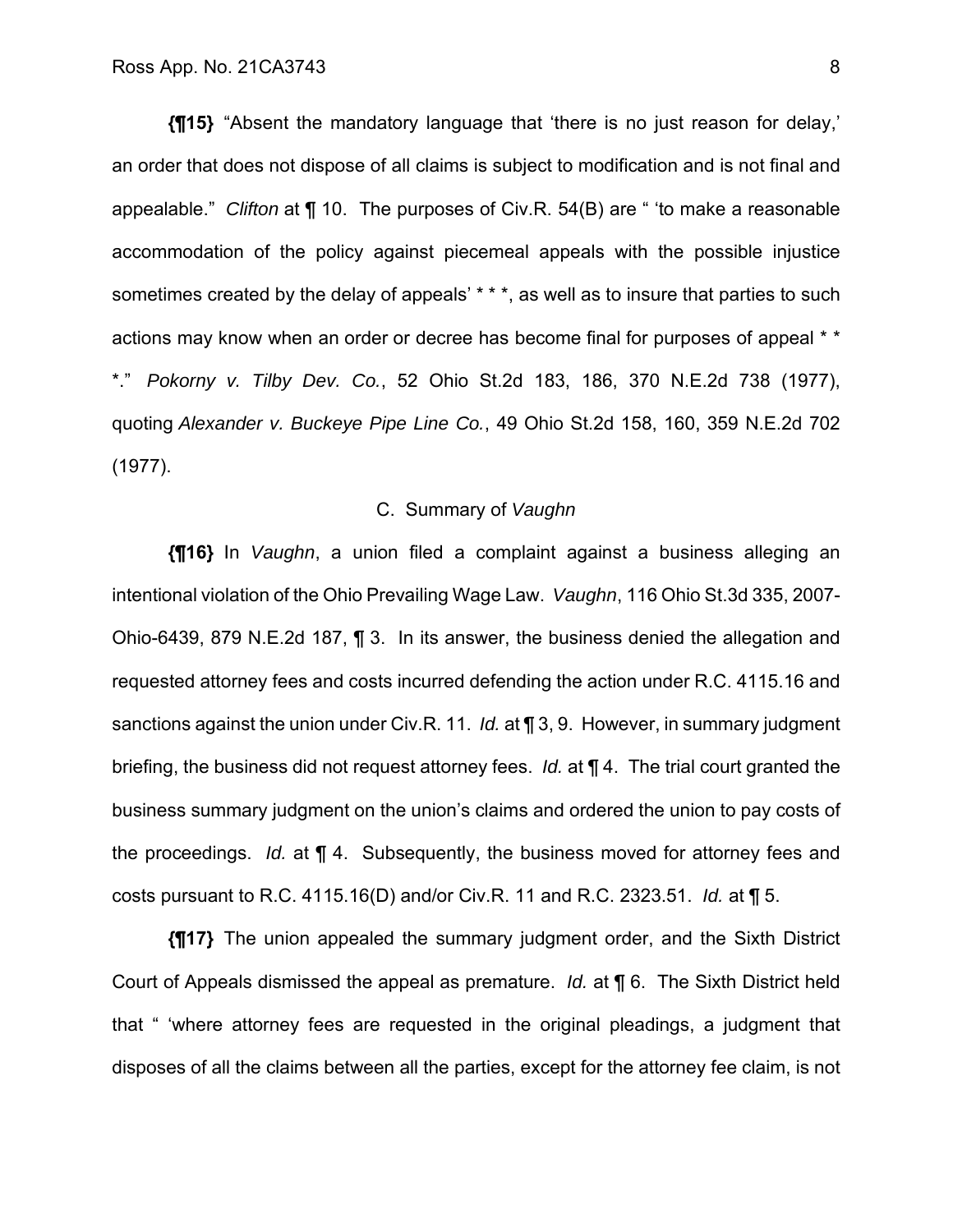**{¶15}** "Absent the mandatory language that 'there is no just reason for delay,' an order that does not dispose of all claims is subject to modification and is not final and appealable." *Clifton* at ¶ 10. The purposes of Civ.R. 54(B) are " 'to make a reasonable accommodation of the policy against piecemeal appeals with the possible injustice sometimes created by the delay of appeals' \* \* \*, as well as to insure that parties to such actions may know when an order or decree has become final for purposes of appeal \* \* \*." *Pokorny v. Tilby Dev. Co.*, 52 Ohio St.2d 183, 186, 370 N.E.2d 738 (1977), quoting *Alexander v. Buckeye Pipe Line Co.*, 49 Ohio St.2d 158, 160, 359 N.E.2d 702 (1977).

## C. Summary of *Vaughn*

**{¶16}** In *Vaughn*, a union filed a complaint against a business alleging an intentional violation of the Ohio Prevailing Wage Law. *Vaughn*, 116 Ohio St.3d 335, 2007- Ohio-6439, 879 N.E.2d 187, ¶ 3. In its answer, the business denied the allegation and requested attorney fees and costs incurred defending the action under R.C. 4115.16 and sanctions against the union under Civ.R. 11. *Id.* at ¶ 3, 9. However, in summary judgment briefing, the business did not request attorney fees. *Id.* at ¶ 4. The trial court granted the business summary judgment on the union's claims and ordered the union to pay costs of the proceedings. *Id.* at ¶ 4. Subsequently, the business moved for attorney fees and costs pursuant to R.C. 4115.16(D) and/or Civ.R. 11 and R.C. 2323.51. *Id.* at ¶ 5.

**{¶17}** The union appealed the summary judgment order, and the Sixth District Court of Appeals dismissed the appeal as premature. *Id.* at ¶ 6. The Sixth District held that " 'where attorney fees are requested in the original pleadings, a judgment that disposes of all the claims between all the parties, except for the attorney fee claim, is not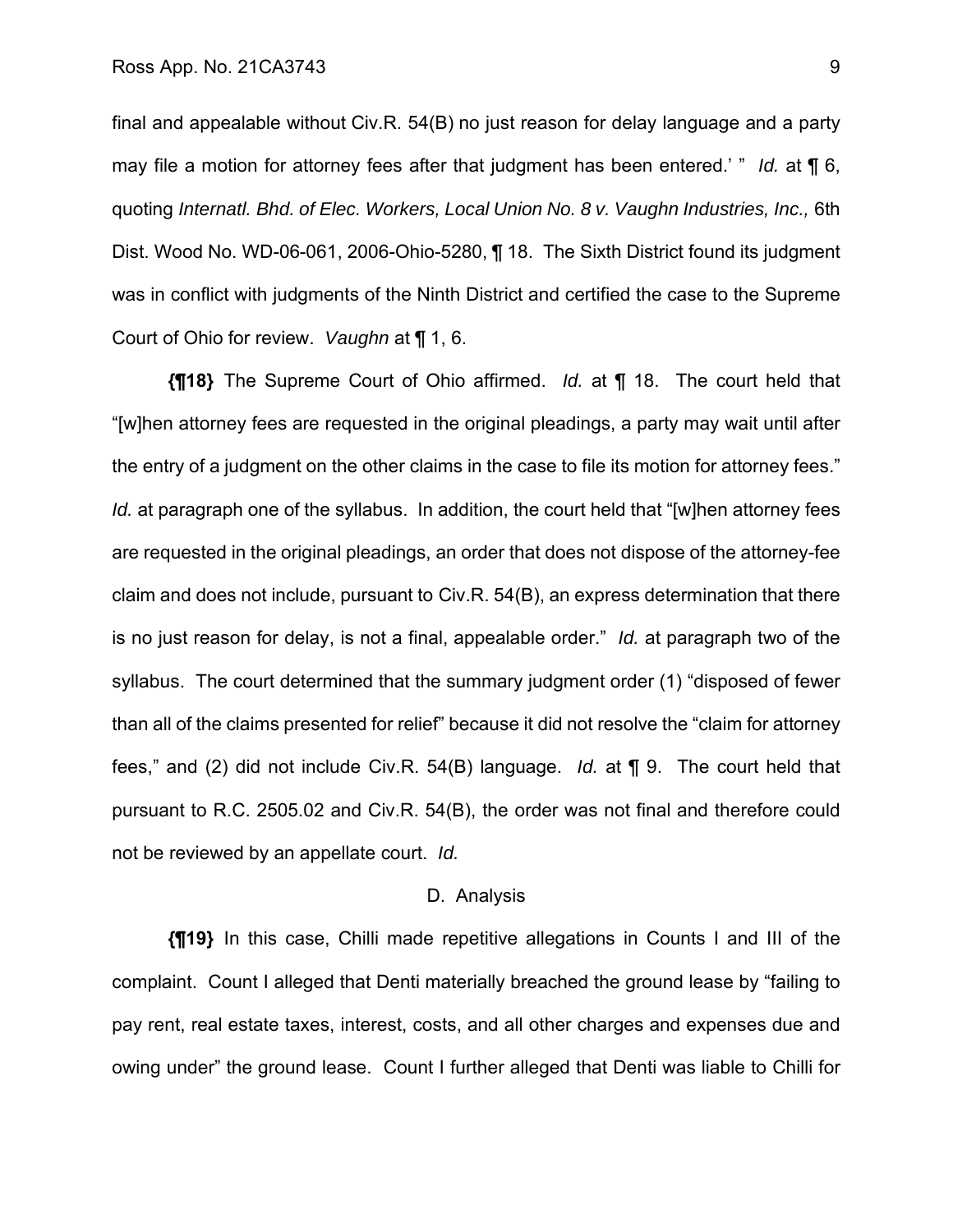final and appealable without Civ.R. 54(B) no just reason for delay language and a party may file a motion for attorney fees after that judgment has been entered.' " *Id.* at ¶ 6, quoting *Internatl. Bhd. of Elec. Workers, Local Union No. 8 v. Vaughn Industries, Inc.,* 6th Dist. Wood No. WD-06-061, 2006-Ohio-5280, ¶ 18. The Sixth District found its judgment was in conflict with judgments of the Ninth District and certified the case to the Supreme Court of Ohio for review. *Vaughn* at ¶ 1, 6.

**{¶18}** The Supreme Court of Ohio affirmed. *Id.* at ¶ 18. The court held that "[w]hen attorney fees are requested in the original pleadings, a party may wait until after the entry of a judgment on the other claims in the case to file its motion for attorney fees." *Id.* at paragraph one of the syllabus. In addition, the court held that "[w]hen attorney fees are requested in the original pleadings, an order that does not dispose of the attorney-fee claim and does not include, pursuant to Civ.R. 54(B), an express determination that there is no just reason for delay, is not a final, appealable order." *Id.* at paragraph two of the syllabus. The court determined that the summary judgment order (1) "disposed of fewer than all of the claims presented for relief" because it did not resolve the "claim for attorney fees," and (2) did not include Civ.R. 54(B) language. *Id.* at ¶ 9. The court held that pursuant to R.C. 2505.02 and Civ.R. 54(B), the order was not final and therefore could not be reviewed by an appellate court. *Id.*

#### D. Analysis

**{¶19}** In this case, Chilli made repetitive allegations in Counts I and III of the complaint. Count I alleged that Denti materially breached the ground lease by "failing to pay rent, real estate taxes, interest, costs, and all other charges and expenses due and owing under" the ground lease. Count I further alleged that Denti was liable to Chilli for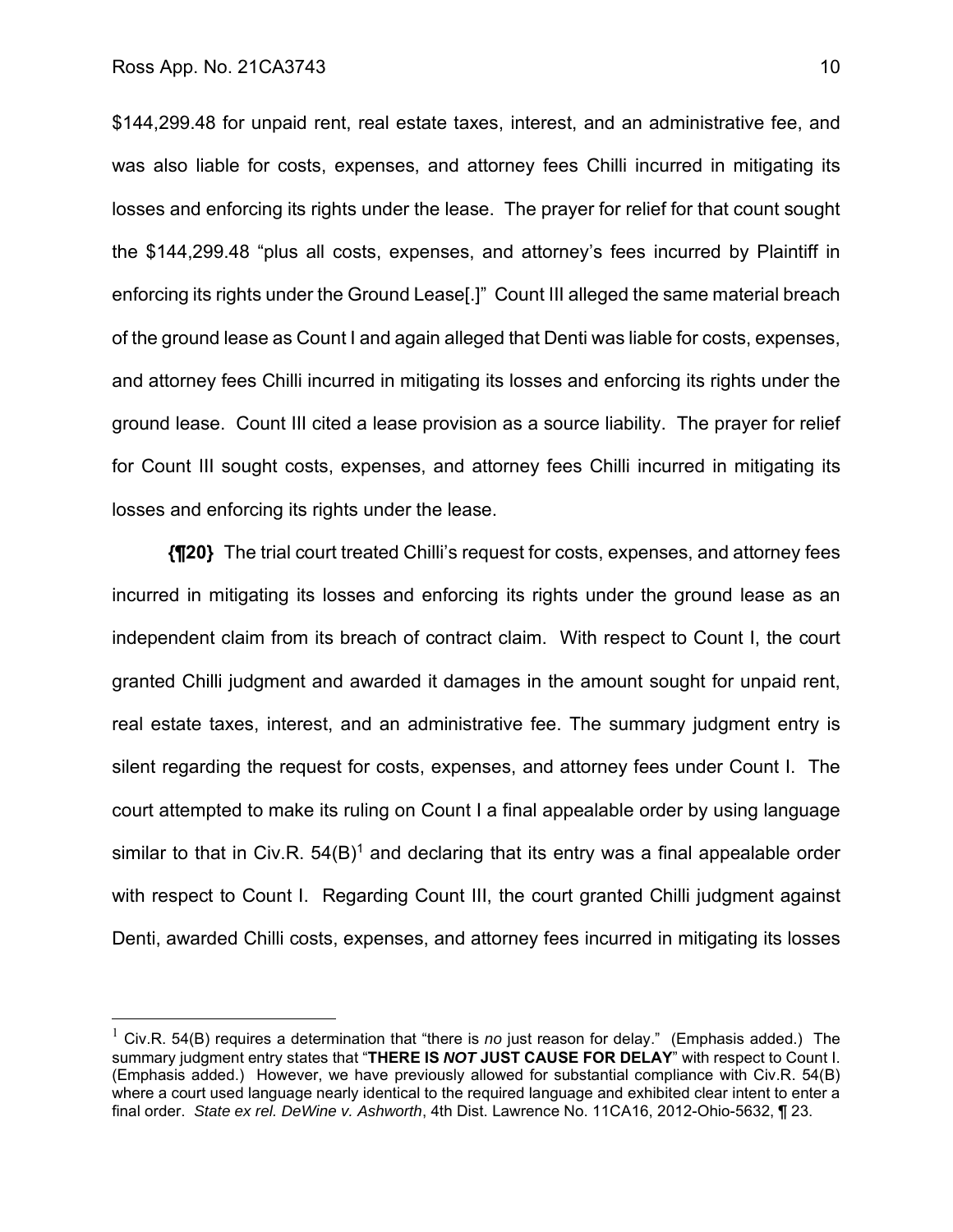\$144,299.48 for unpaid rent, real estate taxes, interest, and an administrative fee, and was also liable for costs, expenses, and attorney fees Chilli incurred in mitigating its losses and enforcing its rights under the lease. The prayer for relief for that count sought the \$144,299.48 "plus all costs, expenses, and attorney's fees incurred by Plaintiff in enforcing its rights under the Ground Lease[.]" Count III alleged the same material breach of the ground lease as Count I and again alleged that Denti was liable for costs, expenses, and attorney fees Chilli incurred in mitigating its losses and enforcing its rights under the ground lease. Count III cited a lease provision as a source liability. The prayer for relief for Count III sought costs, expenses, and attorney fees Chilli incurred in mitigating its losses and enforcing its rights under the lease.

**{¶20}** The trial court treated Chilli's request for costs, expenses, and attorney fees incurred in mitigating its losses and enforcing its rights under the ground lease as an independent claim from its breach of contract claim. With respect to Count I, the court granted Chilli judgment and awarded it damages in the amount sought for unpaid rent, real estate taxes, interest, and an administrative fee. The summary judgment entry is silent regarding the request for costs, expenses, and attorney fees under Count I. The court attempted to make its ruling on Count I a final appealable order by using language similar to that in Civ.R.  $54(B)^1$  and declaring that its entry was a final appealable order with respect to Count I. Regarding Count III, the court granted Chilli judgment against Denti, awarded Chilli costs, expenses, and attorney fees incurred in mitigating its losses

<sup>&</sup>lt;sup>1</sup> Civ.R. 54(B) requires a determination that "there is *no* just reason for delay." (Emphasis added.) The summary judgment entry states that "**THERE IS** *NOT* **JUST CAUSE FOR DELAY**" with respect to Count I. (Emphasis added.) However, we have previously allowed for substantial compliance with Civ.R. 54(B) where a court used language nearly identical to the required language and exhibited clear intent to enter a final order. *State ex rel. DeWine v. Ashworth*, 4th Dist. Lawrence No. 11CA16, 2012-Ohio-5632, ¶ 23.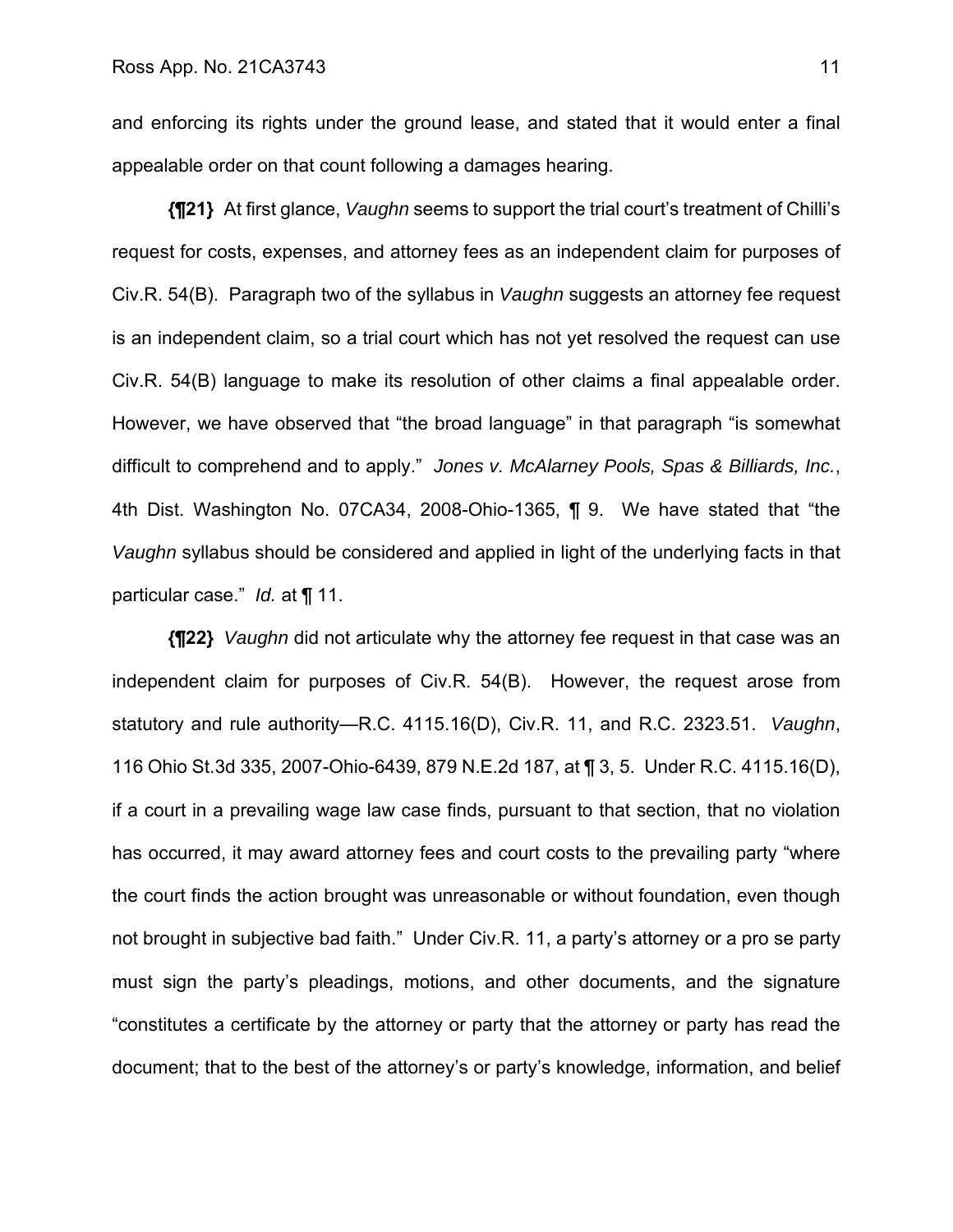and enforcing its rights under the ground lease, and stated that it would enter a final appealable order on that count following a damages hearing.

**{¶21}** At first glance, *Vaughn* seems to support the trial court's treatment of Chilli's request for costs, expenses, and attorney fees as an independent claim for purposes of Civ.R. 54(B). Paragraph two of the syllabus in *Vaughn* suggests an attorney fee request is an independent claim, so a trial court which has not yet resolved the request can use Civ.R. 54(B) language to make its resolution of other claims a final appealable order. However, we have observed that "the broad language" in that paragraph "is somewhat difficult to comprehend and to apply." *Jones v. McAlarney Pools, Spas & Billiards, Inc.*, 4th Dist. Washington No. 07CA34, 2008-Ohio-1365, ¶ 9. We have stated that "the *Vaughn* syllabus should be considered and applied in light of the underlying facts in that particular case." *Id.* at ¶ 11.

**{¶22}** *Vaughn* did not articulate why the attorney fee request in that case was an independent claim for purposes of Civ.R. 54(B). However, the request arose from statutory and rule authority—R.C. 4115.16(D), Civ.R. 11, and R.C. 2323.51. *Vaughn*, 116 Ohio St.3d 335, 2007-Ohio-6439, 879 N.E.2d 187, at ¶ 3, 5. Under R.C. 4115.16(D), if a court in a prevailing wage law case finds, pursuant to that section, that no violation has occurred, it may award attorney fees and court costs to the prevailing party "where the court finds the action brought was unreasonable or without foundation, even though not brought in subjective bad faith." Under Civ.R. 11, a party's attorney or a pro se party must sign the party's pleadings, motions, and other documents, and the signature "constitutes a certificate by the attorney or party that the attorney or party has read the document; that to the best of the attorney's or party's knowledge, information, and belief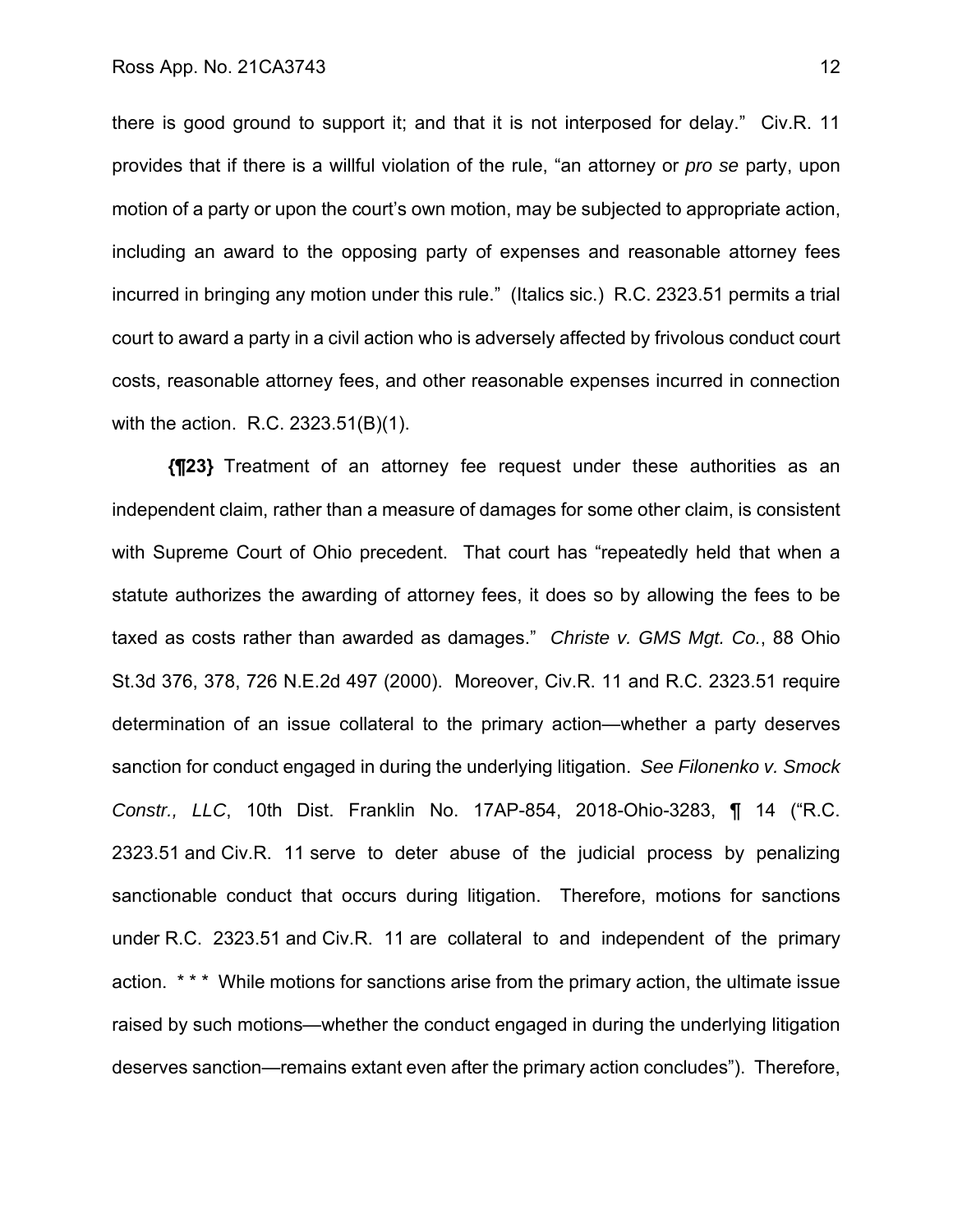there is good ground to support it; and that it is not interposed for delay." Civ.R. 11 provides that if there is a willful violation of the rule, "an attorney or *pro se* party, upon motion of a party or upon the court's own motion, may be subjected to appropriate action, including an award to the opposing party of expenses and reasonable attorney fees incurred in bringing any motion under this rule." (Italics sic.) R.C. 2323.51 permits a trial court to award a party in a civil action who is adversely affected by frivolous conduct court costs, reasonable attorney fees, and other reasonable expenses incurred in connection with the action. R.C. 2323.51(B)(1).

**{¶23}** Treatment of an attorney fee request under these authorities as an independent claim, rather than a measure of damages for some other claim, is consistent with Supreme Court of Ohio precedent. That court has "repeatedly held that when a statute authorizes the awarding of attorney fees, it does so by allowing the fees to be taxed as costs rather than awarded as damages." *Christe v. GMS Mgt. Co.*, 88 Ohio St.3d 376, 378, 726 N.E.2d 497 (2000). Moreover, Civ.R. 11 and R.C. 2323.51 require determination of an issue collateral to the primary action—whether a party deserves sanction for conduct engaged in during the underlying litigation. *See Filonenko v. Smock Constr., LLC*, 10th Dist. Franklin No. 17AP-854, 2018-Ohio-3283, ¶ 14 ("R.C. 2323.51 and Civ.R. 11 serve to deter abuse of the judicial process by penalizing sanctionable conduct that occurs during litigation. Therefore, motions for sanctions under R.C. 2323.51 and Civ.R. 11 are collateral to and independent of the primary action. \*\*\* While motions for sanctions arise from the primary action, the ultimate issue raised by such motions—whether the conduct engaged in during the underlying litigation deserves sanction—remains extant even after the primary action concludes"). Therefore,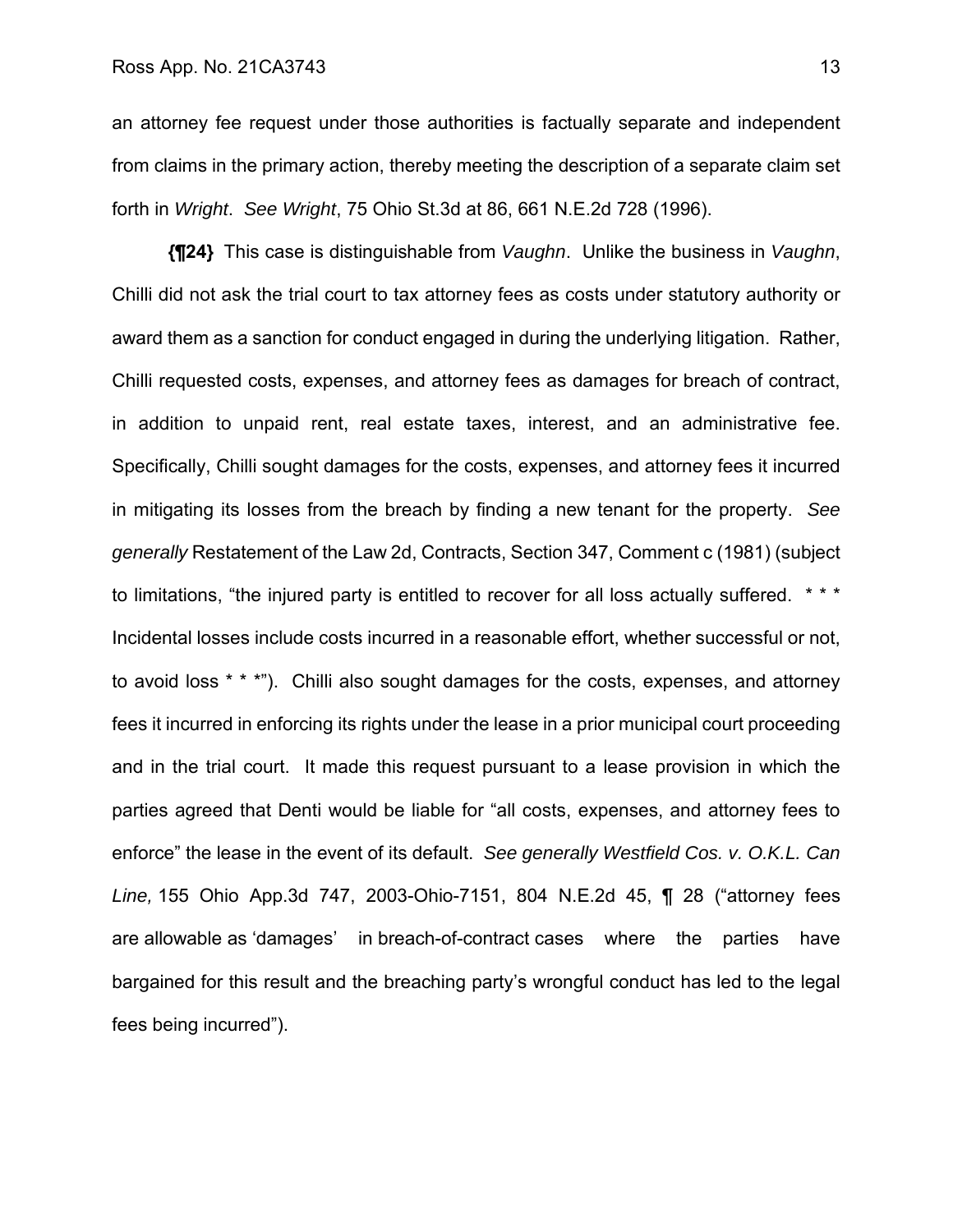an attorney fee request under those authorities is factually separate and independent from claims in the primary action, thereby meeting the description of a separate claim set forth in *Wright*. *See Wright*, 75 Ohio St.3d at 86, 661 N.E.2d 728 (1996).

**{¶24}** This case is distinguishable from *Vaughn*. Unlike the business in *Vaughn*, Chilli did not ask the trial court to tax attorney fees as costs under statutory authority or award them as a sanction for conduct engaged in during the underlying litigation. Rather, Chilli requested costs, expenses, and attorney fees as damages for breach of contract, in addition to unpaid rent, real estate taxes, interest, and an administrative fee. Specifically, Chilli sought damages for the costs, expenses, and attorney fees it incurred in mitigating its losses from the breach by finding a new tenant for the property. *See generally* Restatement of the Law 2d, Contracts, Section 347, Comment c (1981) (subject to limitations, "the injured party is entitled to recover for all loss actually suffered. \*\*\* Incidental losses include costs incurred in a reasonable effort, whether successful or not, to avoid loss \* \* \*"). Chilli also sought damages for the costs, expenses, and attorney fees it incurred in enforcing its rights under the lease in a prior municipal court proceeding and in the trial court. It made this request pursuant to a lease provision in which the parties agreed that Denti would be liable for "all costs, expenses, and attorney fees to enforce" the lease in the event of its default. *See generally Westfield Cos. v. O.K.L. Can Line,* 155 Ohio App.3d 747, 2003-Ohio-7151, 804 N.E.2d 45, ¶ 28 ("attorney fees are allowable as 'damages' in breach-of-contract cases where the parties have bargained for this result and the breaching party's wrongful conduct has led to the legal fees being incurred").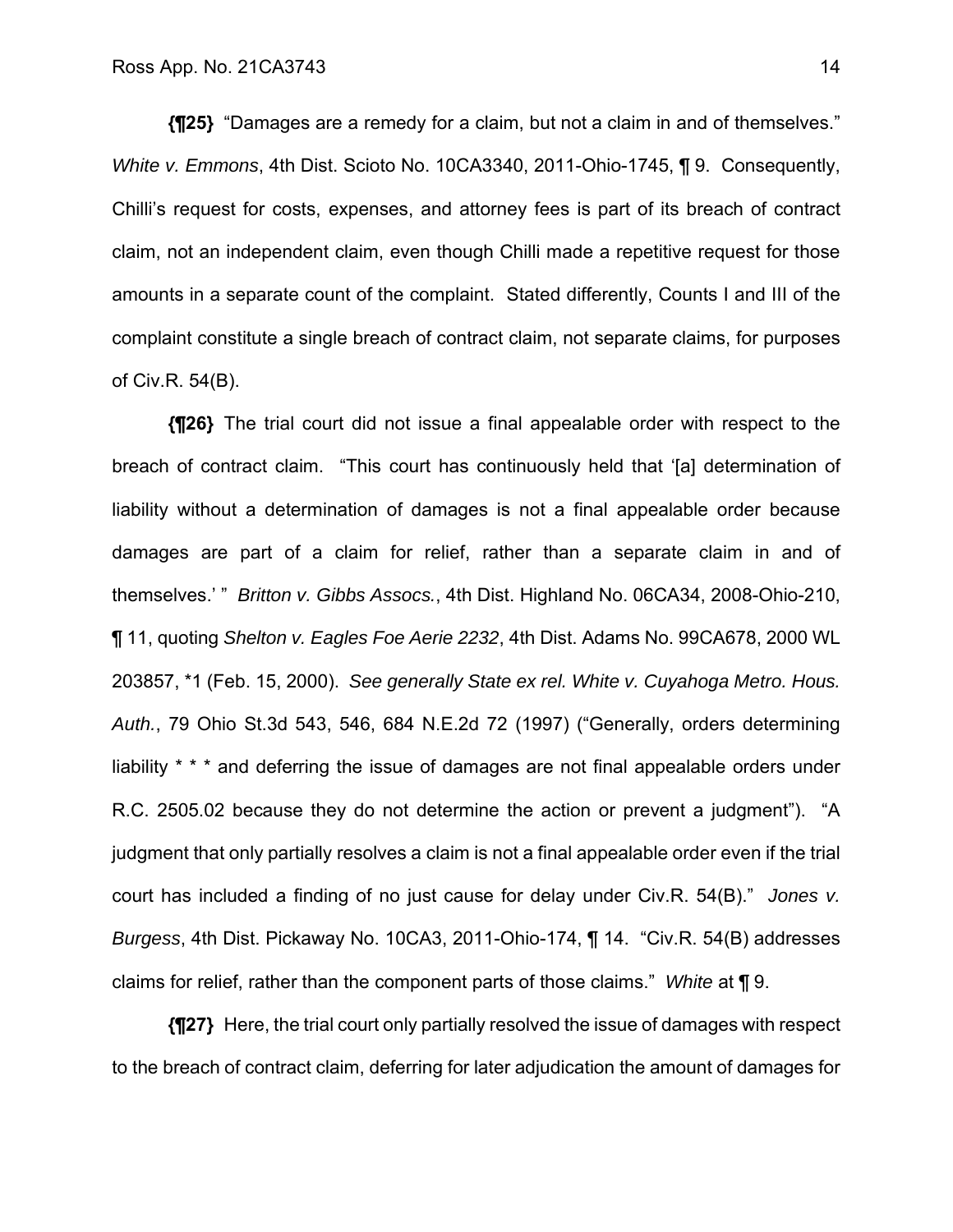**{¶25}** "Damages are a remedy for a claim, but not a claim in and of themselves." *White v. Emmons*, 4th Dist. Scioto No. 10CA3340, 2011-Ohio-1745, ¶ 9. Consequently, Chilli's request for costs, expenses, and attorney fees is part of its breach of contract claim, not an independent claim, even though Chilli made a repetitive request for those amounts in a separate count of the complaint. Stated differently, Counts I and III of the complaint constitute a single breach of contract claim, not separate claims, for purposes of Civ.R. 54(B).

**{¶26}** The trial court did not issue a final appealable order with respect to the breach of contract claim. "This court has continuously held that '[a] determination of liability without a determination of damages is not a final appealable order because damages are part of a claim for relief, rather than a separate claim in and of themselves.' " *Britton v. Gibbs Assocs.*, 4th Dist. Highland No. 06CA34, 2008-Ohio-210, ¶ 11, quoting *Shelton v. Eagles Foe Aerie 2232*, 4th Dist. Adams No. 99CA678, 2000 WL 203857, \*1 (Feb. 15, 2000). *See generally State ex rel. White v. Cuyahoga Metro. Hous. Auth.*, 79 Ohio St.3d 543, 546, 684 N.E.2d 72 (1997) ("Generally, orders determining liability \* \* \* and deferring the issue of damages are not final appealable orders under R.C. 2505.02 because they do not determine the action or prevent a judgment"). "A judgment that only partially resolves a claim is not a final appealable order even if the trial court has included a finding of no just cause for delay under Civ.R. 54(B)." *Jones v. Burgess*, 4th Dist. Pickaway No. 10CA3, 2011-Ohio-174, ¶ 14. "Civ.R. 54(B) addresses claims for relief, rather than the component parts of those claims." *White* at ¶ 9.

**{¶27}** Here, the trial court only partially resolved the issue of damages with respect to the breach of contract claim, deferring for later adjudication the amount of damages for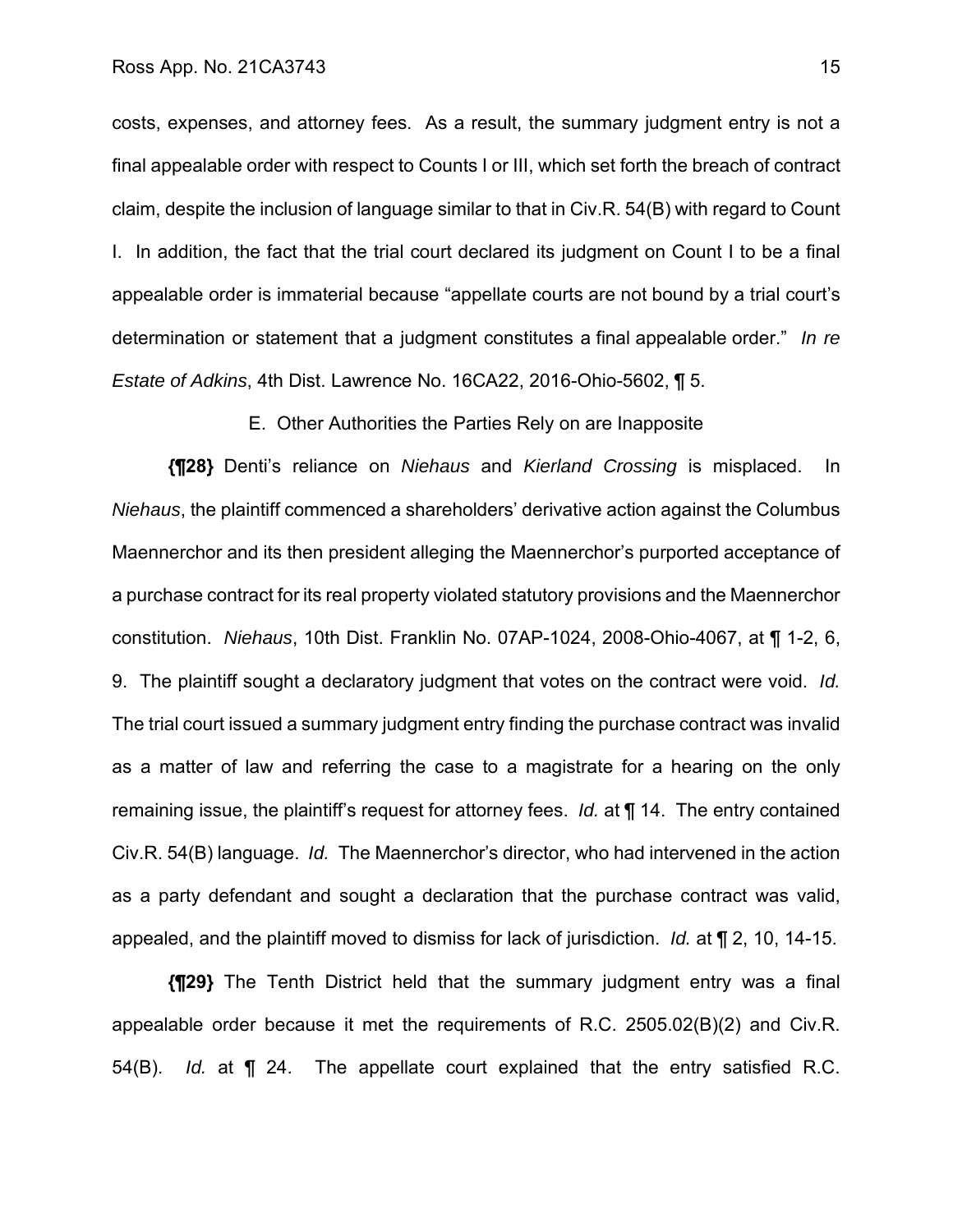costs, expenses, and attorney fees. As a result, the summary judgment entry is not a final appealable order with respect to Counts I or III, which set forth the breach of contract claim, despite the inclusion of language similar to that in Civ.R. 54(B) with regard to Count I. In addition, the fact that the trial court declared its judgment on Count I to be a final appealable order is immaterial because "appellate courts are not bound by a trial court's determination or statement that a judgment constitutes a final appealable order." *In re Estate of Adkins*, 4th Dist. Lawrence No. 16CA22, 2016-Ohio-5602, ¶ 5.

E. Other Authorities the Parties Rely on are Inapposite

**{¶28}** Denti's reliance on *Niehaus* and *Kierland Crossing* is misplaced. In *Niehaus*, the plaintiff commenced a shareholders' derivative action against the Columbus Maennerchor and its then president alleging the Maennerchor's purported acceptance of a purchase contract for its real property violated statutory provisions and the Maennerchor constitution. *Niehaus*, 10th Dist. Franklin No. 07AP-1024, 2008-Ohio-4067, at ¶ 1-2, 6, 9. The plaintiff sought a declaratory judgment that votes on the contract were void. *Id.*  The trial court issued a summary judgment entry finding the purchase contract was invalid as a matter of law and referring the case to a magistrate for a hearing on the only remaining issue, the plaintiff's request for attorney fees. *Id.* at ¶ 14. The entry contained Civ.R. 54(B) language. *Id.* The Maennerchor's director, who had intervened in the action as a party defendant and sought a declaration that the purchase contract was valid, appealed, and the plaintiff moved to dismiss for lack of jurisdiction. *Id.* at ¶ 2, 10, 14-15.

**{¶29}** The Tenth District held that the summary judgment entry was a final appealable order because it met the requirements of R.C. 2505.02(B)(2) and Civ.R. 54(B). *Id.* at ¶ 24. The appellate court explained that the entry satisfied R.C.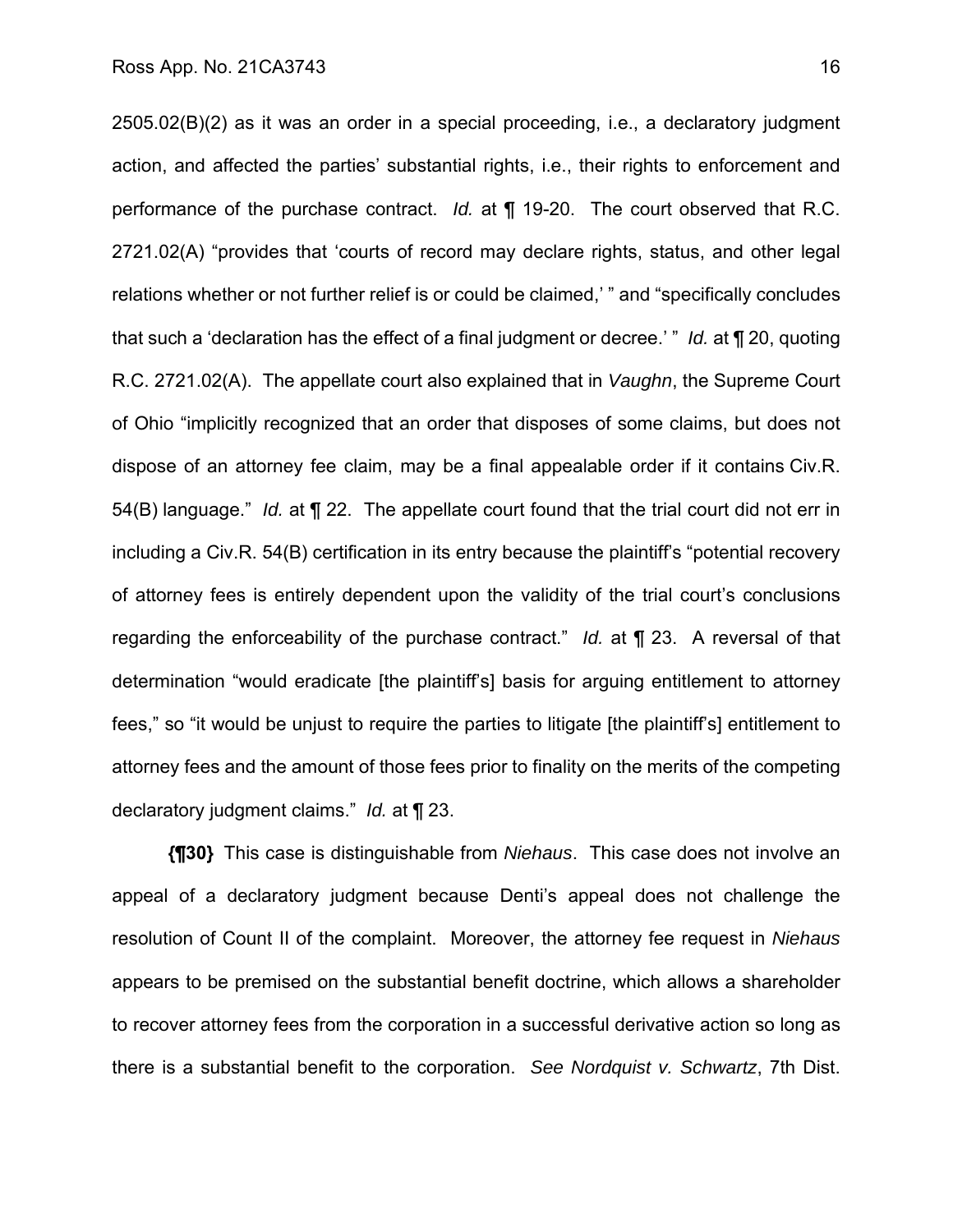2505.02(B)(2) as it was an order in a special proceeding, i.e., a declaratory judgment action, and affected the parties' substantial rights, i.e., their rights to enforcement and performance of the purchase contract. *Id.* at ¶ 19-20. The court observed that R.C. 2721.02(A) "provides that 'courts of record may declare rights, status, and other legal relations whether or not further relief is or could be claimed,' " and "specifically concludes that such a 'declaration has the effect of a final judgment or decree.' " *Id.* at ¶ 20, quoting R.C. 2721.02(A). The appellate court also explained that in *Vaughn*, the Supreme Court of Ohio "implicitly recognized that an order that disposes of some claims, but does not dispose of an attorney fee claim, may be a final appealable order if it contains Civ.R. 54(B) language." *Id.* at ¶ 22. The appellate court found that the trial court did not err in including a Civ.R. 54(B) certification in its entry because the plaintiff's "potential recovery of attorney fees is entirely dependent upon the validity of the trial court's conclusions regarding the enforceability of the purchase contract." *Id.* at ¶ 23. A reversal of that determination "would eradicate [the plaintiff's] basis for arguing entitlement to attorney fees," so "it would be unjust to require the parties to litigate [the plaintiff's] entitlement to attorney fees and the amount of those fees prior to finality on the merits of the competing declaratory judgment claims." *Id.* at ¶ 23.

**{¶30}** This case is distinguishable from *Niehaus*. This case does not involve an appeal of a declaratory judgment because Denti's appeal does not challenge the resolution of Count II of the complaint. Moreover, the attorney fee request in *Niehaus*  appears to be premised on the substantial benefit doctrine, which allows a shareholder to recover attorney fees from the corporation in a successful derivative action so long as there is a substantial benefit to the corporation. *See Nordquist v. Schwartz*, 7th Dist.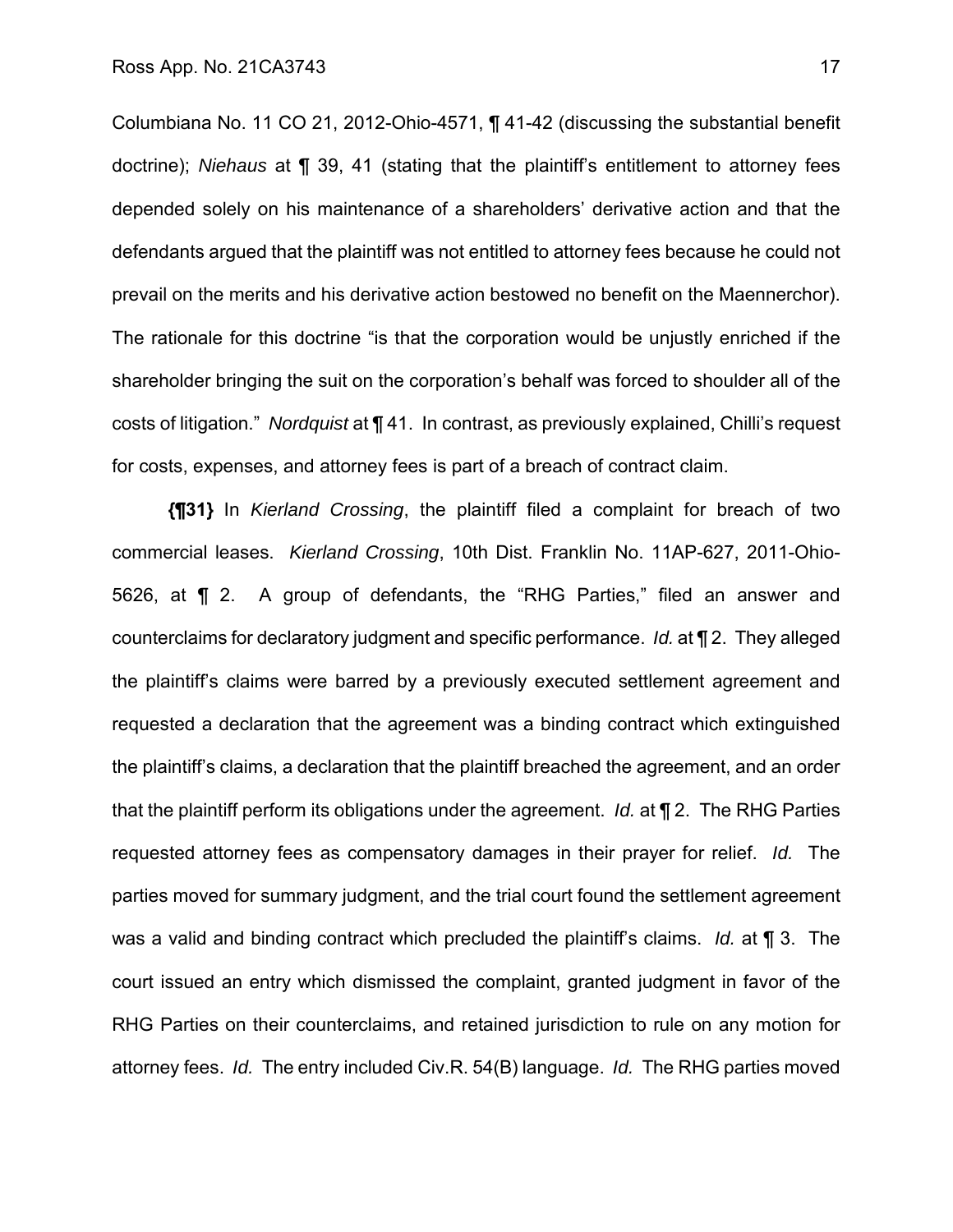Columbiana No. 11 CO 21, 2012-Ohio-4571, ¶ 41-42 (discussing the substantial benefit doctrine); *Niehaus* at ¶ 39, 41 (stating that the plaintiff's entitlement to attorney fees depended solely on his maintenance of a shareholders' derivative action and that the defendants argued that the plaintiff was not entitled to attorney fees because he could not prevail on the merits and his derivative action bestowed no benefit on the Maennerchor). The rationale for this doctrine "is that the corporation would be unjustly enriched if the shareholder bringing the suit on the corporation's behalf was forced to shoulder all of the costs of litigation." *Nordquist* at ¶ 41. In contrast, as previously explained, Chilli's request for costs, expenses, and attorney fees is part of a breach of contract claim.

**{¶31}** In *Kierland Crossing*, the plaintiff filed a complaint for breach of two commercial leases. *Kierland Crossing*, 10th Dist. Franklin No. 11AP-627, 2011-Ohio-5626, at ¶ 2. A group of defendants, the "RHG Parties," filed an answer and counterclaims for declaratory judgment and specific performance. *Id.* at ¶ 2. They alleged the plaintiff's claims were barred by a previously executed settlement agreement and requested a declaration that the agreement was a binding contract which extinguished the plaintiff's claims, a declaration that the plaintiff breached the agreement, and an order that the plaintiff perform its obligations under the agreement. *Id.* at ¶ 2. The RHG Parties requested attorney fees as compensatory damages in their prayer for relief. *Id.* The parties moved for summary judgment, and the trial court found the settlement agreement was a valid and binding contract which precluded the plaintiff's claims. *Id.* at ¶ 3. The court issued an entry which dismissed the complaint, granted judgment in favor of the RHG Parties on their counterclaims, and retained jurisdiction to rule on any motion for attorney fees. *Id.* The entry included Civ.R. 54(B) language. *Id.* The RHG parties moved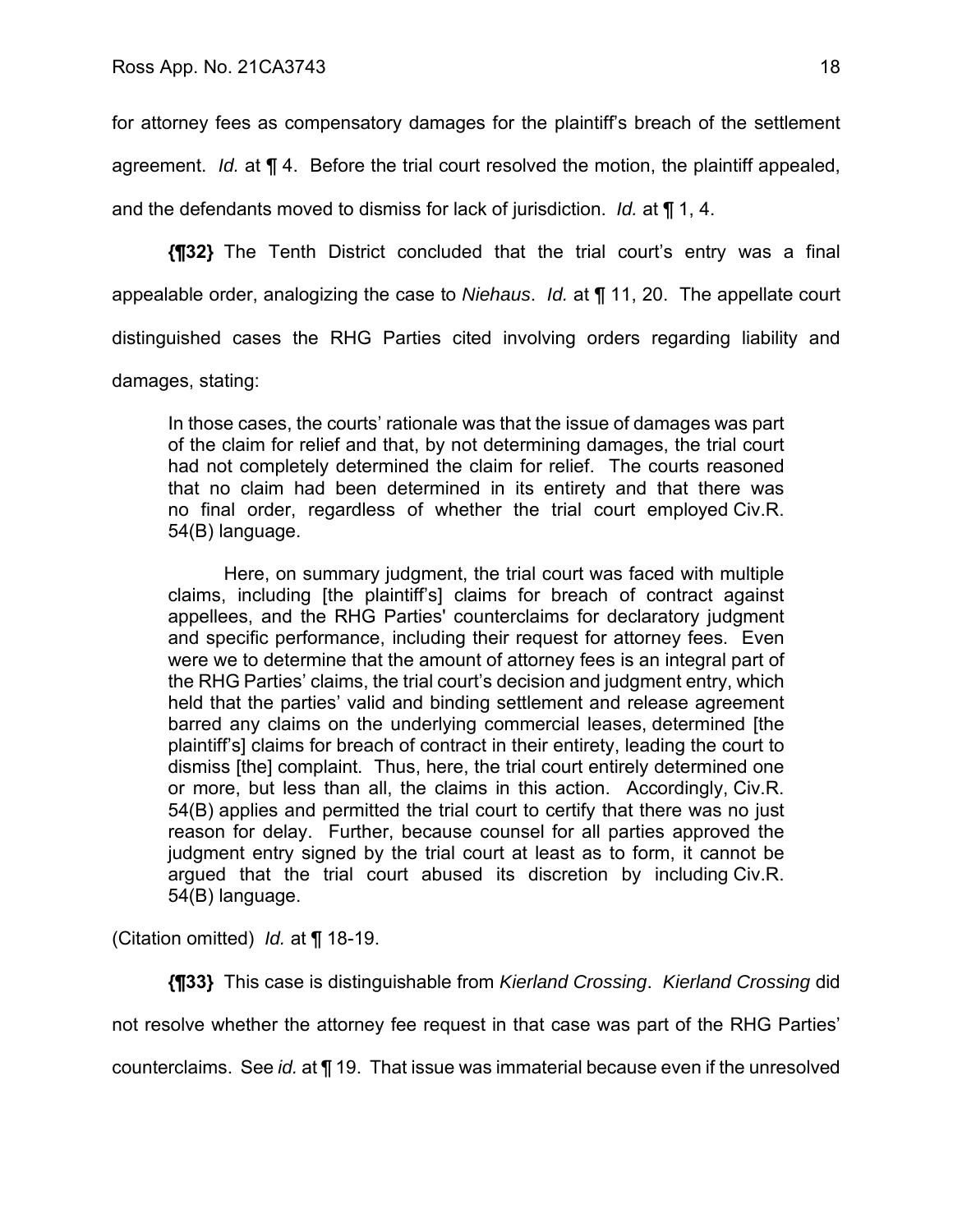for attorney fees as compensatory damages for the plaintiff's breach of the settlement agreement. *Id.* at ¶ 4. Before the trial court resolved the motion, the plaintiff appealed, and the defendants moved to dismiss for lack of jurisdiction. *Id.* at ¶ 1, 4.

**{¶32}** The Tenth District concluded that the trial court's entry was a final appealable order, analogizing the case to *Niehaus*. *Id.* at ¶ 11, 20. The appellate court distinguished cases the RHG Parties cited involving orders regarding liability and

damages, stating:

In those cases, the courts' rationale was that the issue of damages was part of the claim for relief and that, by not determining damages, the trial court had not completely determined the claim for relief. The courts reasoned that no claim had been determined in its entirety and that there was no final order, regardless of whether the trial court employed Civ.R. 54(B) language.

Here, on summary judgment, the trial court was faced with multiple claims, including [the plaintiff's] claims for breach of contract against appellees, and the RHG Parties' counterclaims for declaratory judgment and specific performance, including their request for attorney fees. Even were we to determine that the amount of attorney fees is an integral part of the RHG Parties' claims, the trial court's decision and judgment entry, which held that the parties' valid and binding settlement and release agreement barred any claims on the underlying commercial leases, determined [the plaintiff's] claims for breach of contract in their entirety, leading the court to dismiss [the] complaint. Thus, here, the trial court entirely determined one or more, but less than all, the claims in this action. Accordingly, Civ.R. 54(B) applies and permitted the trial court to certify that there was no just reason for delay. Further, because counsel for all parties approved the judgment entry signed by the trial court at least as to form, it cannot be argued that the trial court abused its discretion by including Civ.R. 54(B) language.

(Citation omitted) *Id.* at ¶ 18-19.

**{¶33}** This case is distinguishable from *Kierland Crossing*. *Kierland Crossing* did not resolve whether the attorney fee request in that case was part of the RHG Parties' counterclaims. See *id.* at ¶ 19. That issue was immaterial because even if the unresolved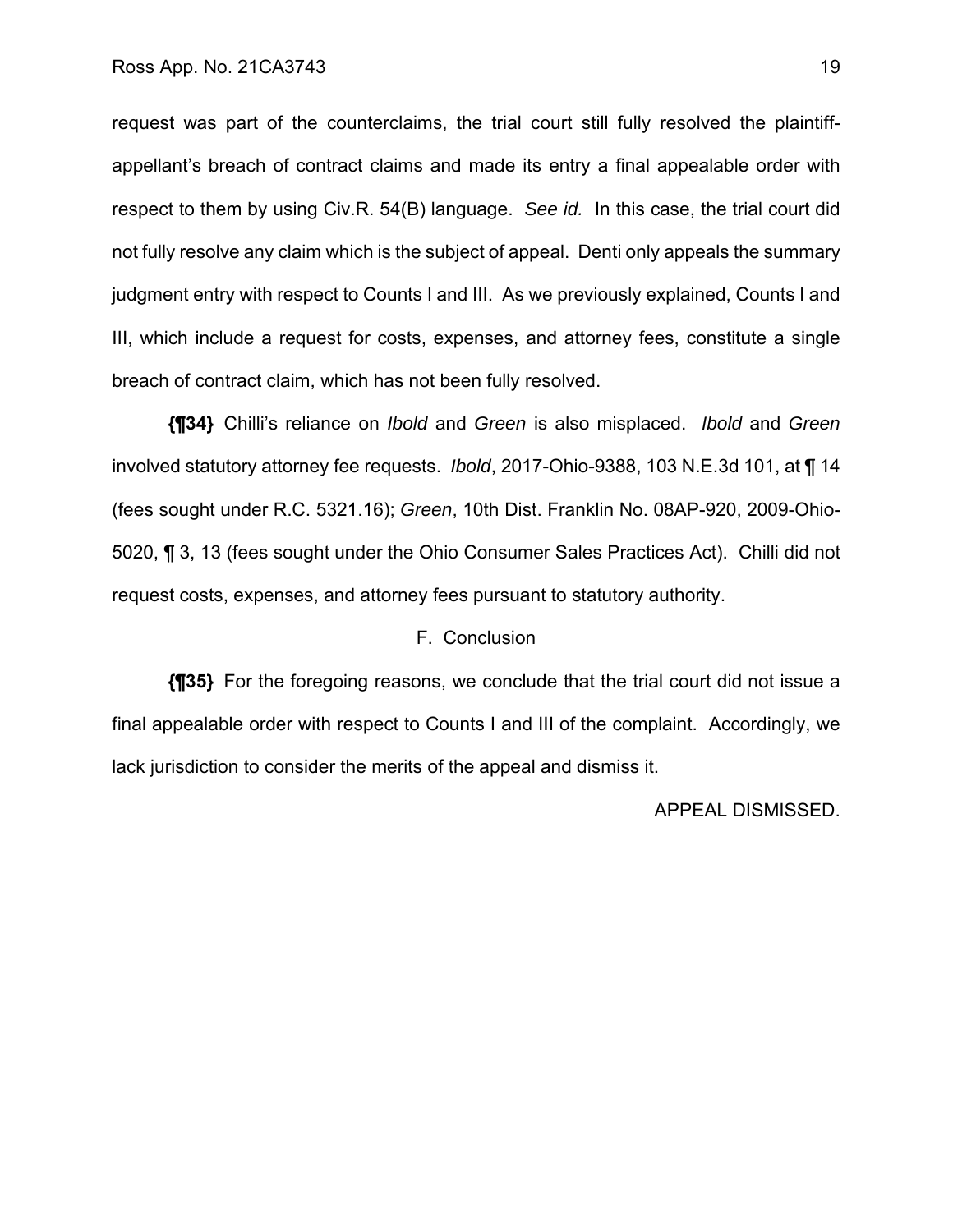request was part of the counterclaims, the trial court still fully resolved the plaintiffappellant's breach of contract claims and made its entry a final appealable order with respect to them by using Civ.R. 54(B) language. *See id.* In this case, the trial court did not fully resolve any claim which is the subject of appeal. Denti only appeals the summary judgment entry with respect to Counts I and III. As we previously explained, Counts I and III, which include a request for costs, expenses, and attorney fees, constitute a single breach of contract claim, which has not been fully resolved.

**{¶34}** Chilli's reliance on *Ibold* and *Green* is also misplaced. *Ibold* and *Green* involved statutory attorney fee requests. *Ibold*, 2017-Ohio-9388, 103 N.E.3d 101, at ¶ 14 (fees sought under R.C. 5321.16); *Green*, 10th Dist. Franklin No. 08AP-920, 2009-Ohio-5020, ¶ 3, 13 (fees sought under the Ohio Consumer Sales Practices Act). Chilli did not request costs, expenses, and attorney fees pursuant to statutory authority.

### F. Conclusion

**{¶35}** For the foregoing reasons, we conclude that the trial court did not issue a final appealable order with respect to Counts I and III of the complaint. Accordingly, we lack jurisdiction to consider the merits of the appeal and dismiss it.

### APPEAL DISMISSED.